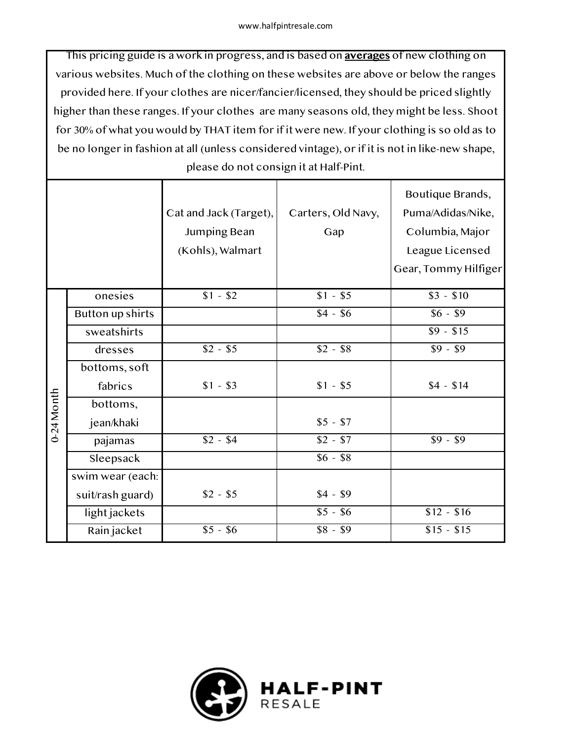This pricing guide is a work in progress, and is based on **averages** of new clothing on various websites. Much of the clothing on these websites are above or below the ranges provided here. If your clothes are nicer/fancier/licensed, they should be priced slightly higher than these ranges. If your clothes are many seasons old, they might be less. Shoot for 30% of what you would by THAT item for if it were new. If your clothing is so old as to be no longer in fashion at all (unless considered vintage), or if it is not in like-new shape, please do not consign it at Half-Pint.

|            |                         | Cat and Jack (Target),<br>Jumping Bean<br>(Kohls), Walmart | Carters, Old Navy,<br>Gap | Boutique Brands,<br>Puma/Adidas/Nike,<br>Columbia, Major<br>League Licensed<br>Gear, Tommy Hilfiger |
|------------|-------------------------|------------------------------------------------------------|---------------------------|-----------------------------------------------------------------------------------------------------|
|            | onesies                 | $$1 - $2$                                                  | $$1 - $5$                 | $$3 - $10$                                                                                          |
|            | <b>Button up shirts</b> |                                                            | $$4 - $6$                 | $$6 - $9$                                                                                           |
|            | sweatshirts             |                                                            |                           | $$9 - $15$                                                                                          |
|            | dresses                 | $$2 - $5$                                                  | $$2 - $8$                 | $$9 - $9$                                                                                           |
|            | bottoms, soft           |                                                            |                           |                                                                                                     |
| 0-24 Month | fabrics                 | $$1 - $3$                                                  | $$1 - $5$                 | $$4 - $14$                                                                                          |
|            | bottoms,                |                                                            |                           |                                                                                                     |
|            | jean/khaki              |                                                            | $$5 - $7$                 |                                                                                                     |
|            | pajamas                 | $$2 - $4$                                                  | $$2 - $7$                 | $$9 - $9$                                                                                           |
|            | Sleepsack               |                                                            | $$6 - $8$                 |                                                                                                     |
|            | swim wear (each:        |                                                            |                           |                                                                                                     |
|            | suit/rash guard)        | $$2 - $5$                                                  | $$4 - $9$                 |                                                                                                     |
|            | light jackets           |                                                            | $$5 - $6$                 | $$12 - $16$                                                                                         |
|            | Rain jacket             | $$5 - $6$                                                  | $$8 - $9$                 | $$15 - $15$                                                                                         |

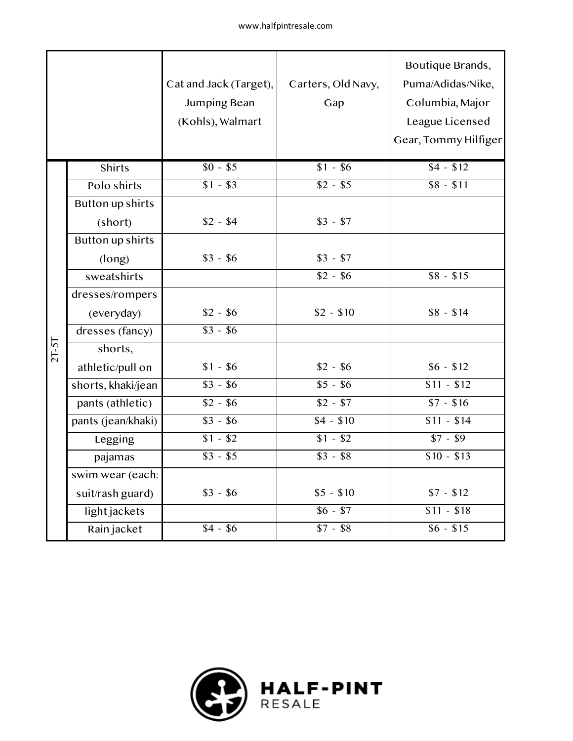|         |                         | Cat and Jack (Target),<br>Jumping Bean<br>(Kohls), Walmart | Carters, Old Navy,<br>Gap | Boutique Brands,<br>Puma/Adidas/Nike,<br>Columbia, Major<br>League Licensed<br>Gear, Tommy Hilfiger |
|---------|-------------------------|------------------------------------------------------------|---------------------------|-----------------------------------------------------------------------------------------------------|
|         | <b>Shirts</b>           | $$0 - $5$                                                  | $$1 - $6$                 | $\sqrt{$4 - $12}$                                                                                   |
|         | Polo shirts             | $$1 - $3$                                                  | $$2 - $5$                 | $$8 - $11$                                                                                          |
|         | Button up shirts        |                                                            |                           |                                                                                                     |
|         | (short)                 | $$2 - $4$                                                  | $$3 - $7$                 |                                                                                                     |
|         | <b>Button up shirts</b> |                                                            |                           |                                                                                                     |
|         | (long)                  | $$3 - $6$                                                  | $$3 - $7$                 |                                                                                                     |
|         | sweatshirts             |                                                            | $$2 - $6$                 | $$8 - $15$                                                                                          |
|         | dresses/rompers         |                                                            |                           |                                                                                                     |
|         | (everyday)              | $$2 - $6$                                                  | $$2 - $10$                | $$8 - $14$                                                                                          |
|         | dresses (fancy)         | $$3 - $6$                                                  |                           |                                                                                                     |
| $2T-5T$ | shorts,                 |                                                            |                           |                                                                                                     |
|         | athletic/pull on        | $$1 - $6$                                                  | $$2 - $6$                 | $$6 - $12$                                                                                          |
|         | shorts, khaki/jean      | $$3 - $6$                                                  | $$5 - $6$                 | $$11 - $12$                                                                                         |
|         | pants (athletic)        | $$2 - $6$                                                  | $$2 - $7$                 | $$7 - $16$                                                                                          |
|         | pants (jean/khaki)      | $$3 - $6$                                                  | $$4 - $10$                | $$11 - $14$                                                                                         |
|         | Legging                 | $$1 - $2$                                                  | $$1 - $2$                 | $$7 - $9$                                                                                           |
|         | pajamas                 | $$3 - $5$                                                  | $$3 - $8$                 | $$10 - $13$                                                                                         |
|         | swim wear (each:        |                                                            |                           |                                                                                                     |
|         | suit/rash guard)        | $$3 - $6$                                                  | $$5 - $10$                | $$7 - $12$                                                                                          |
|         | light jackets           |                                                            | $$6 - $7$                 | $$11 - $18$                                                                                         |
|         | Rain jacket             | $$4 - $6$                                                  | $$7 - $8$                 | $$6 - $15$                                                                                          |